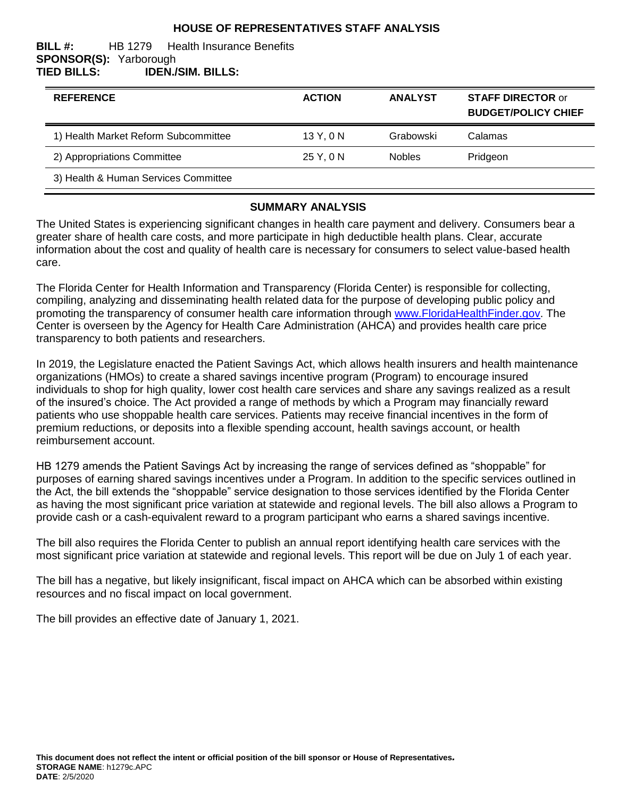## **HOUSE OF REPRESENTATIVES STAFF ANALYSIS**

#### **BILL #:** HB 1279 Health Insurance Benefits **SPONSOR(S):** Yarborough **TIED BILLS: IDEN./SIM. BILLS:**

| <b>REFERENCE</b>                     | <b>ACTION</b> | <b>ANALYST</b> | <b>STAFF DIRECTOR or</b><br><b>BUDGET/POLICY CHIEF</b> |
|--------------------------------------|---------------|----------------|--------------------------------------------------------|
| 1) Health Market Reform Subcommittee | 13 Y, 0 N     | Grabowski      | Calamas                                                |
| 2) Appropriations Committee          | 25 Y, 0 N     | <b>Nobles</b>  | Pridgeon                                               |
| 3) Health & Human Services Committee |               |                |                                                        |

#### **SUMMARY ANALYSIS**

The United States is experiencing significant changes in health care payment and delivery. Consumers bear a greater share of health care costs, and more participate in high deductible health plans. Clear, accurate information about the cost and quality of health care is necessary for consumers to select value-based health care.

The Florida Center for Health Information and Transparency (Florida Center) is responsible for collecting, compiling, analyzing and disseminating health related data for the purpose of developing public policy and promoting the transparency of consumer health care information through [www.FloridaHealthFinder.gov.](http://www.floridahealthfinder.gov/index.html) The Center is overseen by the Agency for Health Care Administration (AHCA) and provides health care price transparency to both patients and researchers.

In 2019, the Legislature enacted the Patient Savings Act, which allows health insurers and health maintenance organizations (HMOs) to create a shared savings incentive program (Program) to encourage insured individuals to shop for high quality, lower cost health care services and share any savings realized as a result of the insured's choice. The Act provided a range of methods by which a Program may financially reward patients who use shoppable health care services. Patients may receive financial incentives in the form of premium reductions, or deposits into a flexible spending account, health savings account, or health reimbursement account.

HB 1279 amends the Patient Savings Act by increasing the range of services defined as "shoppable" for purposes of earning shared savings incentives under a Program. In addition to the specific services outlined in the Act, the bill extends the "shoppable" service designation to those services identified by the Florida Center as having the most significant price variation at statewide and regional levels. The bill also allows a Program to provide cash or a cash-equivalent reward to a program participant who earns a shared savings incentive.

The bill also requires the Florida Center to publish an annual report identifying health care services with the most significant price variation at statewide and regional levels. This report will be due on July 1 of each year.

The bill has a negative, but likely insignificant, fiscal impact on AHCA which can be absorbed within existing resources and no fiscal impact on local government.

The bill provides an effective date of January 1, 2021.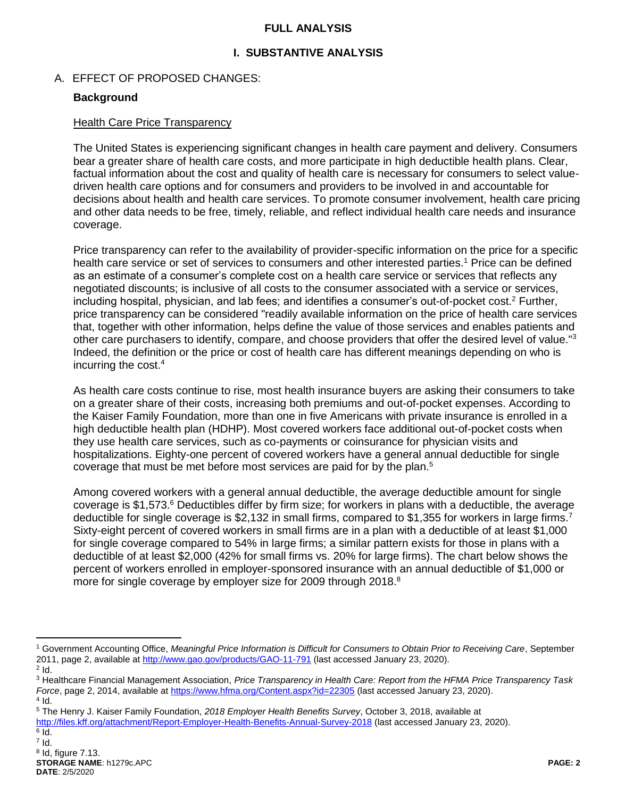#### **FULL ANALYSIS**

## **I. SUBSTANTIVE ANALYSIS**

#### A. EFFECT OF PROPOSED CHANGES:

#### **Background**

#### Health Care Price Transparency

The United States is experiencing significant changes in health care payment and delivery. Consumers bear a greater share of health care costs, and more participate in high deductible health plans. Clear, factual information about the cost and quality of health care is necessary for consumers to select valuedriven health care options and for consumers and providers to be involved in and accountable for decisions about health and health care services. To promote consumer involvement, health care pricing and other data needs to be free, timely, reliable, and reflect individual health care needs and insurance coverage.

Price transparency can refer to the availability of provider-specific information on the price for a specific health care service or set of services to consumers and other interested parties.<sup>1</sup> Price can be defined as an estimate of a consumer's complete cost on a health care service or services that reflects any negotiated discounts; is inclusive of all costs to the consumer associated with a service or services, including hospital, physician, and lab fees; and identifies a consumer's out-of-pocket cost.<sup>2</sup> Further, price transparency can be considered "readily available information on the price of health care services that, together with other information, helps define the value of those services and enables patients and other care purchasers to identify, compare, and choose providers that offer the desired level of value."<sup>3</sup> Indeed, the definition or the price or cost of health care has different meanings depending on who is incurring the cost.<sup>4</sup>

As health care costs continue to rise, most health insurance buyers are asking their consumers to take on a greater share of their costs, increasing both premiums and out-of-pocket expenses. According to the Kaiser Family Foundation, more than one in five Americans with private insurance is enrolled in a high deductible health plan (HDHP). Most covered workers face additional out-of-pocket costs when they use health care services, such as co-payments or coinsurance for physician visits and hospitalizations. Eighty-one percent of covered workers have a general annual deductible for single coverage that must be met before most services are paid for by the plan.<sup>5</sup>

Among covered workers with a general annual deductible, the average deductible amount for single coverage is \$1,573.<sup>6</sup> Deductibles differ by firm size; for workers in plans with a deductible, the average deductible for single coverage is \$2,132 in small firms, compared to \$1,355 for workers in large firms.<sup>7</sup> Sixty-eight percent of covered workers in small firms are in a plan with a deductible of at least \$1,000 for single coverage compared to 54% in large firms; a similar pattern exists for those in plans with a deductible of at least \$2,000 (42% for small firms vs. 20% for large firms). The chart below shows the percent of workers enrolled in employer-sponsored insurance with an annual deductible of \$1,000 or more for single coverage by employer size for 2009 through 2018.<sup>8</sup>

 $\overline{a}$ 

 $^6$  Id.  $^7$  Id.

<sup>1</sup> Government Accounting Office, *Meaningful Price Information is Difficult for Consumers to Obtain Prior to Receiving Care*, September 2011, page 2, available a[t http://www.gao.gov/products/GAO-11-791](http://www.gao.gov/products/GAO-11-791) (last accessed January 23, 2020).

 $2$  Id.

<sup>3</sup> Healthcare Financial Management Association, *Price Transparency in Health Care: Report from the HFMA Price Transparency Task Force*, page 2, 2014, available a[t https://www.hfma.org/Content.aspx?id=22305](https://www.hfma.org/Content.aspx?id=22305) (last accessed January 23, 2020).  $4$  Id.

<sup>5</sup> The Henry J. Kaiser Family Foundation, *2018 Employer Health Benefits Survey*, October 3, 2018, available at <http://files.kff.org/attachment/Report-Employer-Health-Benefits-Annual-Survey-2018> (last accessed January 23, 2020).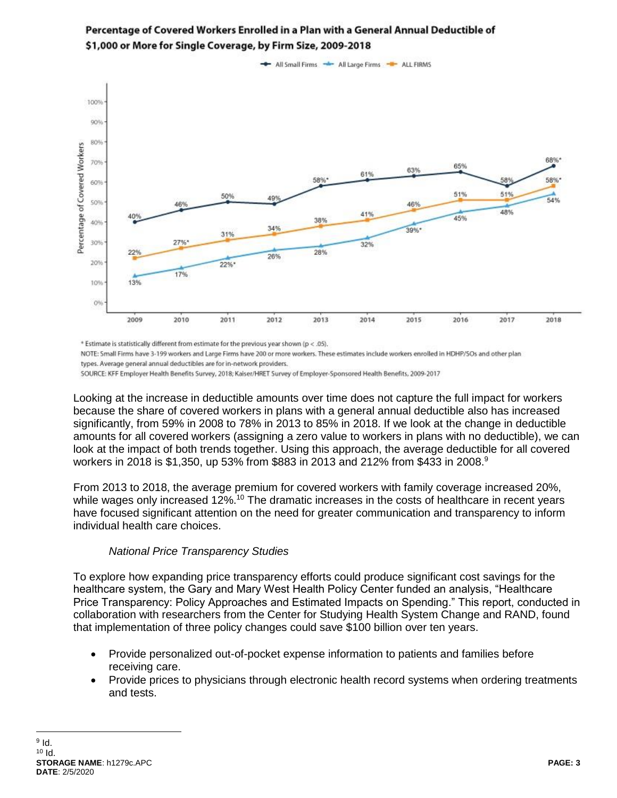

# Percentage of Covered Workers Enrolled in a Plan with a General Annual Deductible of \$1,000 or More for Single Coverage, by Firm Size, 2009-2018

\* Estimate is statistically different from estimate for the previous year shown (p < .05).

NOTE: Small Firms have 3-199 workers and Large Firms have 200 or more workers. These estimates include workers enrolled in HDHP/SOs and other plan types. Average general annual deductibles are for in-network providers.

SOURCE: KFF Employer Health Benefits Survey, 2018; Kaiser/HRET Survey of Employer-Sponsored Health Benefits, 2009-2017

Looking at the increase in deductible amounts over time does not capture the full impact for workers because the share of covered workers in plans with a general annual deductible also has increased significantly, from 59% in 2008 to 78% in 2013 to 85% in 2018. If we look at the change in deductible amounts for all covered workers (assigning a zero value to workers in plans with no deductible), we can look at the impact of both trends together. Using this approach, the average deductible for all covered workers in 2018 is \$1,350, up 53% from \$883 in 2013 and 212% from \$433 in 2008.<sup>9</sup>

From 2013 to 2018, the average premium for covered workers with family coverage increased 20%, while wages only increased 12%.<sup>10</sup> The dramatic increases in the costs of healthcare in recent years have focused significant attention on the need for greater communication and transparency to inform individual health care choices.

## *National Price Transparency Studies*

To explore how expanding price transparency efforts could produce significant cost savings for the healthcare system, the Gary and Mary West Health Policy Center funded an analysis, "Healthcare Price Transparency: Policy Approaches and Estimated Impacts on Spending." This report, conducted in collaboration with researchers from the Center for Studying Health System Change and RAND, found that implementation of three policy changes could save \$100 billion over ten years.

- Provide personalized out-of-pocket expense information to patients and families before receiving care.
- Provide prices to physicians through electronic health record systems when ordering treatments and tests.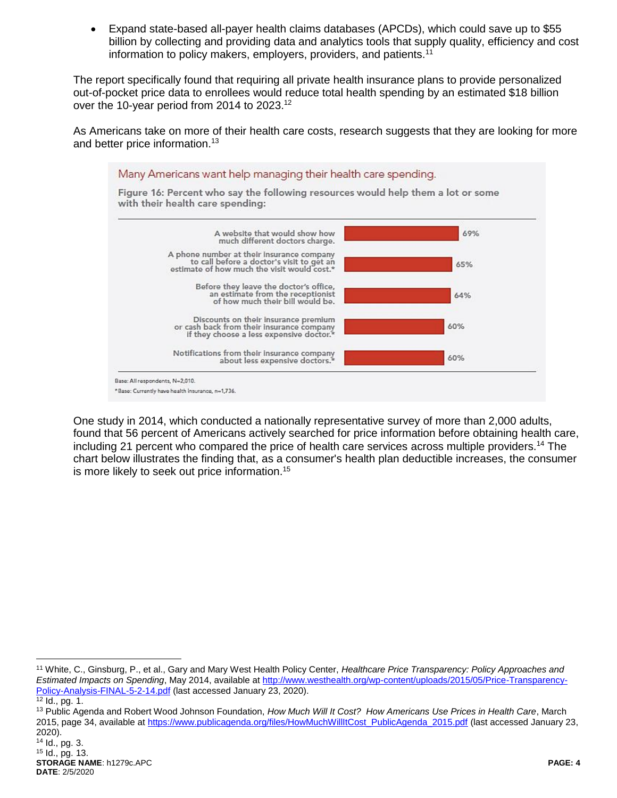Expand state-based all-payer health claims databases (APCDs), which could save up to \$55 billion by collecting and providing data and analytics tools that supply quality, efficiency and cost information to policy makers, employers, providers, and patients.<sup>11</sup>

The report specifically found that requiring all private health insurance plans to provide personalized out-of-pocket price data to enrollees would reduce total health spending by an estimated \$18 billion over the 10-year period from 2014 to 2023.<sup>12</sup>

As Americans take on more of their health care costs, research suggests that they are looking for more and better price information.<sup>13</sup>



One study in 2014, which conducted a nationally representative survey of more than 2,000 adults, found that 56 percent of Americans actively searched for price information before obtaining health care, including 21 percent who compared the price of health care services across multiple providers.<sup>14</sup> The chart below illustrates the finding that, as a consumer's health plan deductible increases, the consumer is more likely to seek out price information.<sup>15</sup>

 $\overline{a}$ 

<sup>11</sup> White, C., Ginsburg, P., et al., Gary and Mary West Health Policy Center, *Healthcare Price Transparency: Policy Approaches and Estimated Impacts on Spending*, May 2014, available a[t http://www.westhealth.org/wp-content/uploads/2015/05/Price-Transparency-](http://www.westhealth.org/wp-content/uploads/2015/05/Price-Transparency-Policy-Analysis-FINAL-5-2-14.pdf)[Policy-Analysis-FINAL-5-2-14.pdf](http://www.westhealth.org/wp-content/uploads/2015/05/Price-Transparency-Policy-Analysis-FINAL-5-2-14.pdf) (last accessed January 23, 2020).

 $\frac{1}{12}$  Id., pg. 1.

<sup>13</sup> Public Agenda and Robert Wood Johnson Foundation, *How Much Will It Cost? How Americans Use Prices in Health Care*, March 2015, page 34, available a[t https://www.publicagenda.org/files/HowMuchWillItCost\\_PublicAgenda\\_2015.pdf](https://www.publicagenda.org/files/HowMuchWillItCost_PublicAgenda_2015.pdf) (last accessed January 23, 2020).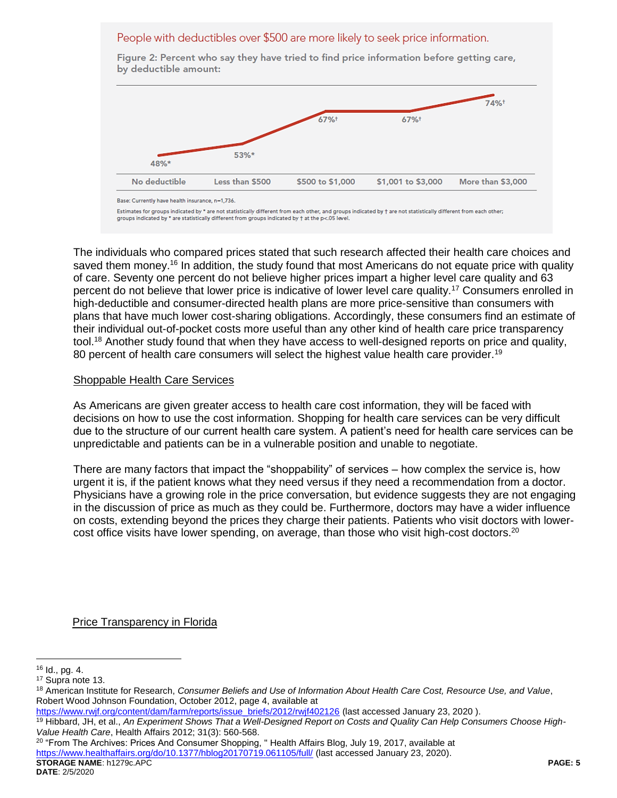#### People with deductibles over \$500 are more likely to seek price information.

by deductible amount: 74%+ 67%+ 67%+ 53%\* 48%\* No deductible Less than \$500 \$500 to \$1,000 \$1,001 to \$3,000 More than \$3,000

Figure 2: Percent who say they have tried to find price information before getting care,

Estimates for groups indicated by \* are not statistically different from each other, and groups indicated by + are not statistically different from each other; groups indicated by \* are statistically different from groups indicated by † at the p<.05 level.

The individuals who compared prices stated that such research affected their health care choices and saved them money.<sup>16</sup> In addition, the study found that most Americans do not equate price with quality of care. Seventy one percent do not believe higher prices impart a higher level care quality and 63 percent do not believe that lower price is indicative of lower level care quality.<sup>17</sup> Consumers enrolled in high-deductible and consumer-directed health plans are more price-sensitive than consumers with plans that have much lower cost-sharing obligations. Accordingly, these consumers find an estimate of their individual out-of-pocket costs more useful than any other kind of health care price transparency tool.<sup>18</sup> Another study found that when they have access to well-designed reports on price and quality, 80 percent of health care consumers will select the highest value health care provider.<sup>19</sup>

#### Shoppable Health Care Services

As Americans are given greater access to health care cost information, they will be faced with decisions on how to use the cost information. Shopping for health care services can be very difficult due to the structure of our current health care system. A patient's need for health care services can be unpredictable and patients can be in a vulnerable position and unable to negotiate.

There are many factors that impact the "shoppability" of services – how complex the service is, how urgent it is, if the patient knows what they need versus if they need a recommendation from a doctor. Physicians have a growing role in the price conversation, but evidence suggests they are not engaging in the discussion of price as much as they could be. Furthermore, doctors may have a wider influence on costs, extending beyond the prices they charge their patients. Patients who visit doctors with lowercost office visits have lower spending, on average, than those who visit high-cost doctors.<sup>20</sup>

Price Transparency in Florida

 $\overline{a}$ 

**STORAGE NAME**: h1279c.APC **PAGE: 5**  $20$  "From The Archives: Prices And Consumer Shopping, "Health Affairs Blog, July 19, 2017, available at <https://www.healthaffairs.org/do/10.1377/hblog20170719.061105/full/> (last accessed January 23, 2020).

Base: Currently have health insurance, n=1,736.

 $16$  Id., pg. 4.

<sup>17</sup> Supra note 13.

<sup>18</sup> American Institute for Research, *Consumer Beliefs and Use of Information About Health Care Cost, Resource Use, and Value*, Robert Wood Johnson Foundation, October 2012, page 4, available at

[https://www.rwjf.org/content/dam/farm/reports/issue\\_briefs/2012/rwjf402126](https://www.rwjf.org/content/dam/farm/reports/issue_briefs/2012/rwjf402126) (last accessed January 23, 2020 ).

<sup>19</sup> Hibbard, JH, et al., *An Experiment Shows That a Well-Designed Report on Costs and Quality Can Help Consumers Choose High-Value Health Care*, Health Affairs 2012; 31(3): 560-568.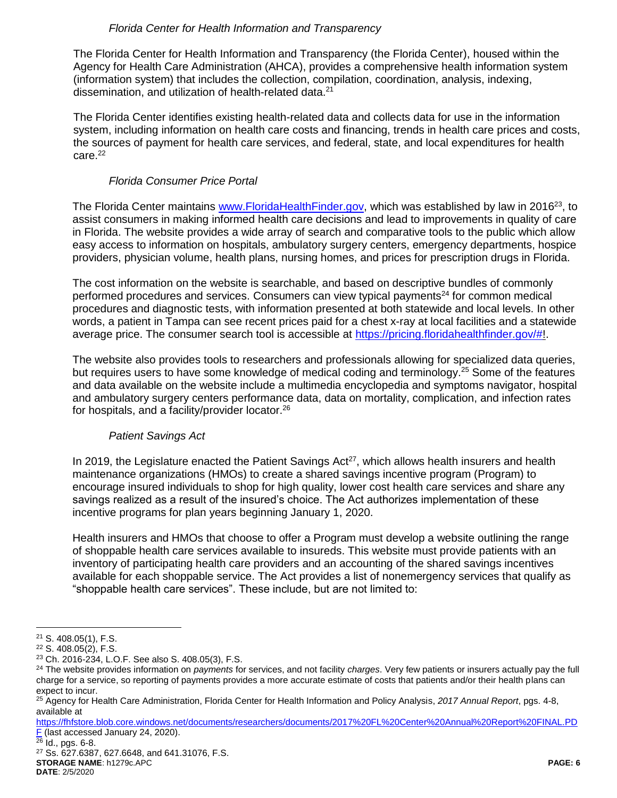## *Florida Center for Health Information and Transparency*

The Florida Center for Health Information and Transparency (the Florida Center), housed within the Agency for Health Care Administration (AHCA), provides a comprehensive health information system (information system) that includes the collection, compilation, coordination, analysis, indexing, dissemination, and utilization of health-related data.<sup>21</sup>

The Florida Center identifies existing health-related data and collects data for use in the information system, including information on health care costs and financing, trends in health care prices and costs, the sources of payment for health care services, and federal, state, and local expenditures for health care. 22

## *Florida Consumer Price Portal*

The Florida Center maintains [www.FloridaHealthFinder.gov,](http://www.floridahealthfinder.gov/) which was established by law in 2016<sup>23</sup>, to assist consumers in making informed health care decisions and lead to improvements in quality of care in Florida. The website provides a wide array of search and comparative tools to the public which allow easy access to information on hospitals, ambulatory surgery centers, emergency departments, hospice providers, physician volume, health plans, nursing homes, and prices for prescription drugs in Florida.

The cost information on the website is searchable, and based on descriptive bundles of commonly performed procedures and services. Consumers can view typical payments<sup>24</sup> for common medical procedures and diagnostic tests, with information presented at both statewide and local levels. In other words, a patient in Tampa can see recent prices paid for a chest x-ray at local facilities and a statewide average price. The consumer search tool is accessible at [https://pricing.floridahealthfinder.gov/#!](https://pricing.floridahealthfinder.gov/).

The website also provides tools to researchers and professionals allowing for specialized data queries, but requires users to have some knowledge of medical coding and terminology.<sup>25</sup> Some of the features and data available on the website include a multimedia encyclopedia and symptoms navigator, hospital and ambulatory surgery centers performance data, data on mortality, complication, and infection rates for hospitals, and a facility/provider locator.<sup>26</sup>

# *Patient Savings Act*

In 2019, the Legislature enacted the Patient Savings  $Act^{27}$ , which allows health insurers and health maintenance organizations (HMOs) to create a shared savings incentive program (Program) to encourage insured individuals to shop for high quality, lower cost health care services and share any savings realized as a result of the insured's choice. The Act authorizes implementation of these incentive programs for plan years beginning January 1, 2020.

Health insurers and HMOs that choose to offer a Program must develop a website outlining the range of shoppable health care services available to insureds. This website must provide patients with an inventory of participating health care providers and an accounting of the shared savings incentives available for each shoppable service. The Act provides a list of nonemergency services that qualify as "shoppable health care services". These include, but are not limited to:

 $\frac{26}{26}$  Id., pgs. 6-8.

**STORAGE NAME**: h1279c.APC **PAGE: 6 DATE**: 2/5/2020 <sup>27</sup> Ss. 627.6387, 627.6648, and 641.31076, F.S.

 $\overline{a}$ <sup>21</sup> S. 408.05(1), F.S.

<sup>22</sup> S. 408.05(2), F.S.

<sup>23</sup> Ch. 2016-234, L.O.F. See also S. 408.05(3), F.S.

<sup>24</sup> The website provides information on *payments* for services, and not facility *charges*. Very few patients or insurers actually pay the full charge for a service, so reporting of payments provides a more accurate estimate of costs that patients and/or their health plans can expect to incur.

<sup>25</sup> Agency for Health Care Administration, Florida Center for Health Information and Policy Analysis, *2017 Annual Report*, pgs. 4-8, available at

[https://fhfstore.blob.core.windows.net/documents/researchers/documents/2017%20FL%20Center%20Annual%20Report%20FINAL.PD](https://fhfstore.blob.core.windows.net/documents/researchers/documents/2017%20FL%20Center%20Annual%20Report%20FINAL.PDF) [F](https://fhfstore.blob.core.windows.net/documents/researchers/documents/2017%20FL%20Center%20Annual%20Report%20FINAL.PDF) (last accessed January 24, 2020).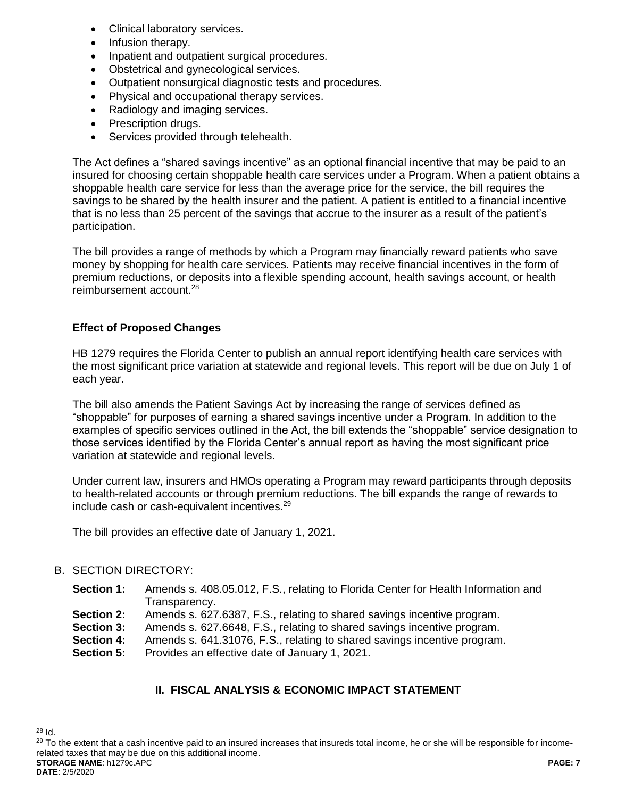- Clinical laboratory services.
- Infusion therapy.
- Inpatient and outpatient surgical procedures.
- Obstetrical and gynecological services.
- Outpatient nonsurgical diagnostic tests and procedures.
- Physical and occupational therapy services.
- Radiology and imaging services.
- Prescription drugs.
- Services provided through telehealth.

The Act defines a "shared savings incentive" as an optional financial incentive that may be paid to an insured for choosing certain shoppable health care services under a Program. When a patient obtains a shoppable health care service for less than the average price for the service, the bill requires the savings to be shared by the health insurer and the patient. A patient is entitled to a financial incentive that is no less than 25 percent of the savings that accrue to the insurer as a result of the patient's participation.

The bill provides a range of methods by which a Program may financially reward patients who save money by shopping for health care services. Patients may receive financial incentives in the form of premium reductions, or deposits into a flexible spending account, health savings account, or health reimbursement account.<sup>28</sup>

# **Effect of Proposed Changes**

HB 1279 requires the Florida Center to publish an annual report identifying health care services with the most significant price variation at statewide and regional levels. This report will be due on July 1 of each year.

The bill also amends the Patient Savings Act by increasing the range of services defined as "shoppable" for purposes of earning a shared savings incentive under a Program. In addition to the examples of specific services outlined in the Act, the bill extends the "shoppable" service designation to those services identified by the Florida Center's annual report as having the most significant price variation at statewide and regional levels.

Under current law, insurers and HMOs operating a Program may reward participants through deposits to health-related accounts or through premium reductions. The bill expands the range of rewards to include cash or cash-equivalent incentives.<sup>29</sup>

The bill provides an effective date of January 1, 2021.

# B. SECTION DIRECTORY:

- **Section 1:** Amends s. 408.05.012, F.S., relating to Florida Center for Health Information and Transparency.
- **Section 2:** Amends s. 627.6387, F.S., relating to shared savings incentive program.
- **Section 3:** Amends s. 627.6648, F.S., relating to shared savings incentive program.
- **Section 4:** Amends s. 641.31076, F.S., relating to shared savings incentive program.
- **Section 5:** Provides an effective date of January 1, 2021.

# **II. FISCAL ANALYSIS & ECONOMIC IMPACT STATEMENT**

 $\overline{a}$ <sup>28</sup> Id.

**STORAGE NAME**: h1279c.APC **PAGE: 7** <sup>29</sup> To the extent that a cash incentive paid to an insured increases that insureds total income, he or she will be responsible for incomerelated taxes that may be due on this additional income.